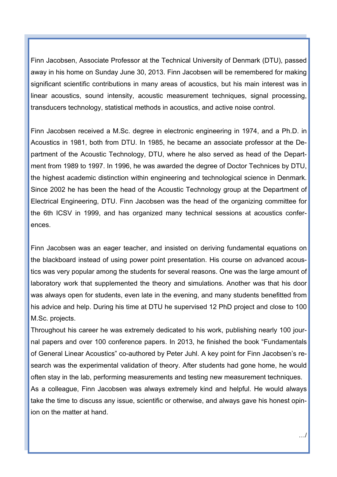Finn Jacobsen, Associate Professor at the Technical University of Denmark (DTU), passed away in his home on Sunday June 30, 2013. Finn Jacobsen will be remembered for making significant scientific contributions in many areas of acoustics, but his main interest was in linear acoustics, sound intensity, acoustic measurement techniques, signal processing, transducers technology, statistical methods in acoustics, and active noise control.

Finn Jacobsen received a M.Sc. degree in electronic engineering in 1974, and a Ph.D. in Acoustics in 1981, both from DTU. In 1985, he became an associate professor at the Department of the Acoustic Technology, DTU, where he also served as head of the Department from 1989 to 1997. In 1996, he was awarded the degree of Doctor Technices by DTU, the highest academic distinction within engineering and technological science in Denmark. Since 2002 he has been the head of the Acoustic Technology group at the Department of Electrical Engineering, DTU. Finn Jacobsen was the head of the organizing committee for the 6th ICSV in 1999, and has organized many technical sessions at acoustics conferences.

Finn Jacobsen was an eager teacher, and insisted on deriving fundamental equations on the blackboard instead of using power point presentation. His course on advanced acoustics was very popular among the students for several reasons. One was the large amount of laboratory work that supplemented the theory and simulations. Another was that his door was always open for students, even late in the evening, and many students benefitted from his advice and help. During his time at DTU he supervised 12 PhD project and close to 100 M.Sc. projects.

Throughout his career he was extremely dedicated to his work, publishing nearly 100 journal papers and over 100 conference papers. In 2013, he finished the book "Fundamentals of General Linear Acoustics" co-authored by Peter Juhl. A key point for Finn Jacobsen's research was the experimental validation of theory. After students had gone home, he would often stay in the lab, performing measurements and testing new measurement techniques. As a colleague, Finn Jacobsen was always extremely kind and helpful. He would always take the time to discuss any issue, scientific or otherwise, and always gave his honest opinion on the matter at hand.